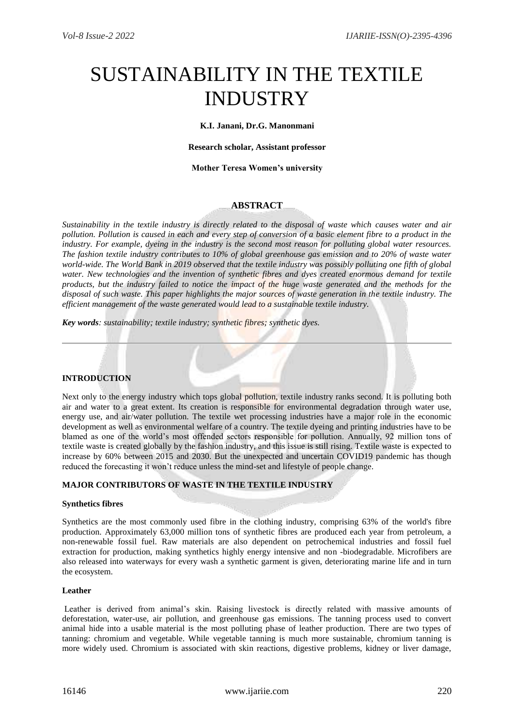# SUSTAINABILITY IN THE TEXTILE INDUSTRY

**K.I. Janani, Dr.G. Manonmani**

**Research scholar, Assistant professor**

**Mother Teresa Women's university**

## **ABSTRACT**

*Sustainability in the textile industry is directly related to the disposal of waste which causes water and air pollution. Pollution is caused in each and every step of conversion of a basic element fibre to a product in the industry. For example, dyeing in the industry is the second most reason for polluting global water resources. The fashion textile industry contributes to 10% of global greenhouse gas emission and to 20% of waste water world-wide. The World Bank in 2019 observed that the textile industry was possibly polluting one fifth of global water. New technologies and the invention of synthetic fibres and dyes created enormous demand for textile products, but the industry failed to notice the impact of the huge waste generated and the methods for the disposal of such waste. This paper highlights the major sources of waste generation in the textile industry. The efficient management of the waste generated would lead to a sustainable textile industry.* 

*Key words: sustainability; textile industry; synthetic fibres; synthetic dyes.*

## **INTRODUCTION**

Next only to the energy industry which tops global pollution, textile industry ranks second. It is polluting both air and water to a great extent. Its creation is responsible for environmental degradation through water use, energy use, and air/water pollution. The textile wet processing industries have a major role in the economic development as well as environmental welfare of a country. The textile dyeing and printing industries have to be blamed as one of the world's most offended sectors responsible for pollution. Annually, 92 million tons of textile waste is created globally by the fashion industry, and this issue is still rising. Textile waste is expected to increase by 60% between 2015 and 2030. But the unexpected and uncertain COVID19 pandemic has though reduced the forecasting it won't reduce unless the mind-set and lifestyle of people change.

## **MAJOR CONTRIBUTORS OF WASTE IN THE TEXTILE INDUSTRY**

### **Synthetics fibres**

Synthetics are the most commonly used fibre in the clothing industry, comprising 63% of the world's fibre production. Approximately 63,000 million tons of synthetic fibres are produced each year from petroleum, a non-renewable fossil fuel. Raw materials are also dependent on petrochemical industries and fossil fuel extraction for production, making synthetics highly energy intensive and non -biodegradable. Microfibers are also released into waterways for every wash a synthetic garment is given, deteriorating marine life and in turn the ecosystem.

### **Leather**

Leather is derived from animal's skin. Raising livestock is directly related with massive amounts of deforestation, water-use, air pollution, and greenhouse gas emissions. The tanning process used to convert animal hide into a usable material is the most polluting phase of leather production. There are two types of tanning: chromium and vegetable. While vegetable tanning is much more sustainable, chromium tanning is more widely used. Chromium is associated with skin reactions, digestive problems, kidney or liver damage,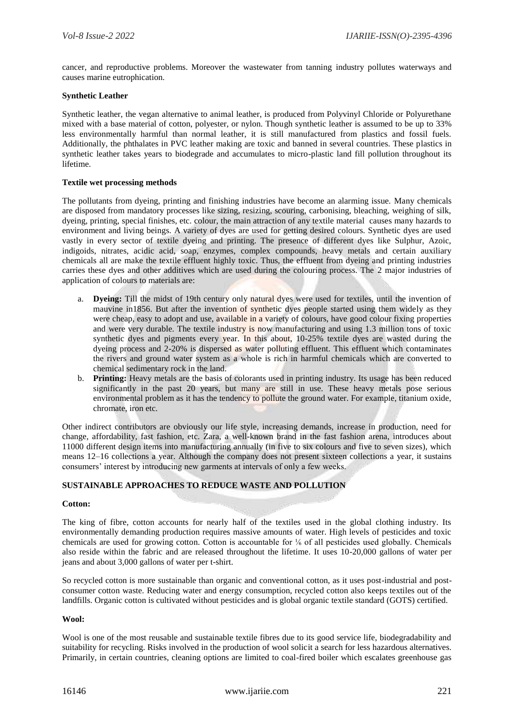cancer, and reproductive problems. Moreover the wastewater from tanning industry pollutes waterways and causes marine eutrophication.

## **Synthetic Leather**

Synthetic leather, the vegan alternative to animal leather, is produced from Polyvinyl Chloride or Polyurethane mixed with a base material of cotton, polyester, or nylon. Though synthetic leather is assumed to be up to 33% less environmentally harmful than normal leather, it is still manufactured from plastics and fossil fuels. Additionally, the phthalates in PVC leather making are toxic and banned in several countries. These plastics in synthetic leather takes years to biodegrade and accumulates to micro-plastic land fill pollution throughout its lifetime.

## **Textile wet processing methods**

The pollutants from dyeing, printing and finishing industries have become an alarming issue. Many chemicals are disposed from mandatory processes like sizing, resizing, scouring, carbonising, bleaching, weighing of silk, dyeing, printing, special finishes, etc. colour, the main attraction of any textile material causes many hazards to environment and living beings. A variety of dyes are used for getting desired colours. Synthetic dyes are used vastly in every sector of textile dyeing and printing. The presence of different dyes like Sulphur, Azoic, indigoids, nitrates, acidic acid, soap, enzymes, complex compounds, heavy metals and certain auxiliary chemicals all are make the textile effluent highly toxic. Thus, the effluent from dyeing and printing industries carries these dyes and other additives which are used during the colouring process. The 2 major industries of application of colours to materials are:

- a. **Dyeing:** Till the midst of 19th century only natural dyes were used for textiles, until the invention of mauvine in1856. But after the invention of synthetic dyes people started using them widely as they were cheap, easy to adopt and use, available in a variety of colours, have good colour fixing properties and were very durable. The textile industry is now manufacturing and using 1.3 million tons of toxic synthetic dyes and pigments every year. In this about, 10-25% textile dyes are wasted during the dyeing process and 2-20% is dispersed as water polluting effluent. This effluent which contaminates the rivers and ground water system as a whole is rich in harmful chemicals which are converted to chemical sedimentary rock in the land.
- b. **Printing:** Heavy metals are the basis of colorants used in printing industry. Its usage has been reduced significantly in the past 20 years, but many are still in use. These heavy metals pose serious environmental problem as it has the tendency to pollute the ground water. For example, titanium oxide, chromate, iron etc.

Other indirect contributors are obviously our life style, increasing demands, increase in production, need for change, affordability, fast fashion, etc. Zara, a well-known brand in the fast fashion arena, introduces about 11000 different design items into manufacturing annually (in five to six colours and five to seven sizes), which means 12–16 collections a year. Although the company does not present sixteen collections a year, it sustains consumers' interest by introducing new garments at intervals of only a few weeks.

# **SUSTAINABLE APPROACHES TO REDUCE WASTE AND POLLUTION**

## **Cotton:**

The king of fibre, cotton accounts for nearly half of the textiles used in the global clothing industry. Its environmentally demanding production requires massive amounts of water. High levels of pesticides and toxic chemicals are used for growing cotton. Cotton is accountable for ⅙ of all pesticides used globally. Chemicals also reside within the fabric and are released throughout the lifetime. It uses 10-20,000 gallons of water per jeans and about 3,000 gallons of water per t-shirt.

So recycled cotton is more sustainable than organic and conventional cotton, as it uses post-industrial and postconsumer cotton waste. Reducing water and energy consumption, recycled cotton also keeps textiles out of the landfills. Organic cotton is cultivated without pesticides and is global organic textile standard (GOTS) certified.

## **Wool:**

Wool is one of the most reusable and sustainable textile fibres due to its good service life, biodegradability and suitability for recycling. Risks involved in the production of wool solicit a search for less hazardous alternatives. Primarily, in certain countries, cleaning options are limited to coal-fired boiler which escalates greenhouse gas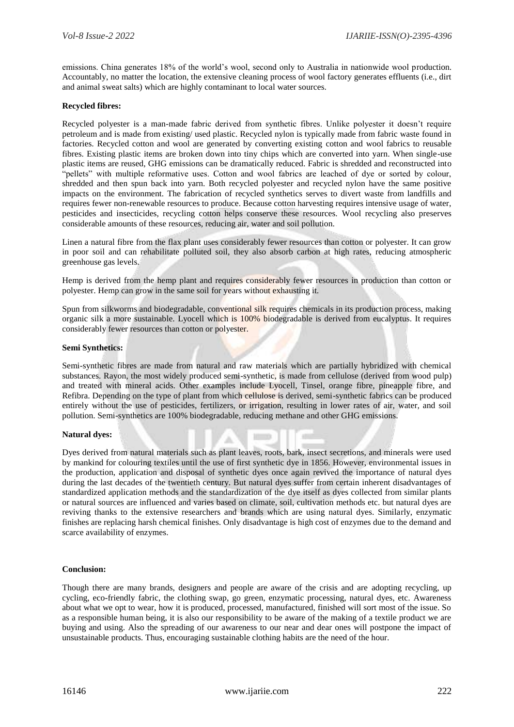emissions. China generates 18% of the world's wool, second only to Australia in nationwide wool production. Accountably, no matter the location, the extensive cleaning process of wool factory generates effluents (i.e., dirt and animal sweat salts) which are highly contaminant to local water sources.

## **Recycled fibres:**

Recycled polyester is a man-made fabric derived from synthetic fibres. Unlike polyester it doesn't require petroleum and is made from existing/ used plastic. Recycled nylon is typically made from fabric waste found in factories. Recycled cotton and wool are generated by converting existing cotton and wool fabrics to reusable fibres. Existing plastic items are broken down into tiny chips which are converted into yarn. When single-use plastic items are reused, GHG emissions can be dramatically reduced. Fabric is shredded and reconstructed into "pellets" with multiple reformative uses. Cotton and wool fabrics are leached of dye or sorted by colour, shredded and then spun back into yarn. Both recycled polyester and recycled nylon have the same positive impacts on the environment. The fabrication of recycled synthetics serves to divert waste from landfills and requires fewer non-renewable resources to produce. Because cotton harvesting requires intensive usage of water, pesticides and insecticides, recycling cotton helps conserve these resources. Wool recycling also preserves considerable amounts of these resources, reducing air, water and soil pollution.

Linen a natural fibre from the flax plant uses considerably fewer resources than cotton or polyester. It can grow in poor soil and can rehabilitate polluted soil, they also absorb carbon at high rates, reducing atmospheric greenhouse gas levels.

Hemp is derived from the hemp plant and requires considerably fewer resources in production than cotton or polyester. Hemp can grow in the same soil for years without exhausting it.

Spun from silkworms and biodegradable, conventional silk requires chemicals in its production process, making organic silk a more sustainable. Lyocell which is 100% biodegradable is derived from eucalyptus. It requires considerably fewer resources than cotton or polyester.

## **Semi Synthetics:**

Semi-synthetic fibres are made from natural and raw materials which are partially hybridized with chemical substances. Rayon, the most widely produced semi-synthetic, is made from cellulose (derived from wood pulp) and treated with mineral acids. Other examples include Lyocell, Tinsel, orange fibre, pineapple fibre, and Refibra. Depending on the type of plant from which cellulose is derived, semi-synthetic fabrics can be produced entirely without the use of pesticides, fertilizers, or irrigation, resulting in lower rates of air, water, and soil pollution. Semi-synthetics are 100% biodegradable, reducing methane and other GHG emissions.

## **Natural dyes:**

Dyes derived from natural materials such as plant leaves, roots, bark, insect secretions, and minerals were used by mankind for colouring textiles until the use of first synthetic dye in 1856. However, environmental issues in the production, application and disposal of synthetic dyes once again revived the importance of natural dyes during the last decades of the twentieth century. But natural dyes suffer from certain inherent disadvantages of standardized application methods and the standardization of the dye itself as dyes collected from similar plants or natural sources are influenced and varies based on climate, soil, cultivation methods etc. but natural dyes are reviving thanks to the extensive researchers and brands which are using natural dyes. Similarly, enzymatic finishes are replacing harsh chemical finishes. Only disadvantage is high cost of enzymes due to the demand and scarce availability of enzymes.

## **Conclusion:**

Though there are many brands, designers and people are aware of the crisis and are adopting recycling, up cycling, eco-friendly fabric, the clothing swap, go green, enzymatic processing, natural dyes, etc. Awareness about what we opt to wear, how it is produced, processed, manufactured, finished will sort most of the issue. So as a responsible human being, it is also our responsibility to be aware of the making of a textile product we are buying and using. Also the spreading of our awareness to our near and dear ones will postpone the impact of unsustainable products. Thus, encouraging sustainable clothing habits are the need of the hour.